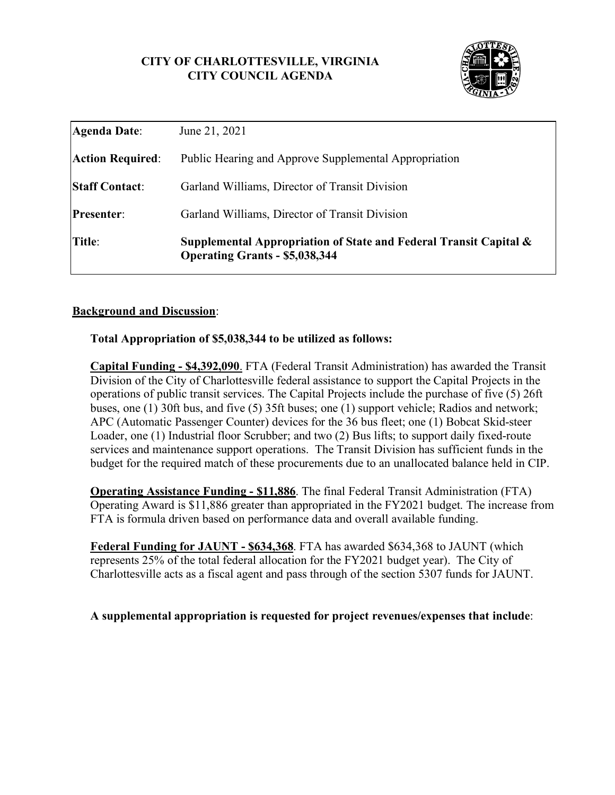# **CITY OF CHARLOTTESVILLE, VIRGINIA CITY COUNCIL AGENDA**



| Title:                  | Supplemental Appropriation of State and Federal Transit Capital $\&$<br><b>Operating Grants - \$5,038,344</b> |
|-------------------------|---------------------------------------------------------------------------------------------------------------|
| <b>Presenter:</b>       | Garland Williams, Director of Transit Division                                                                |
| <b>Staff Contact:</b>   | Garland Williams, Director of Transit Division                                                                |
| <b>Action Required:</b> | Public Hearing and Approve Supplemental Appropriation                                                         |
| Agenda Date:            | June 21, 2021                                                                                                 |

### **Background and Discussion**:

#### **Total Appropriation of \$5,038,344 to be utilized as follows:**

**Capital Funding - \$4,392,090**. FTA (Federal Transit Administration) has awarded the Transit Division of the City of Charlottesville federal assistance to support the Capital Projects in the operations of public transit services. The Capital Projects include the purchase of five (5) 26ft buses, one (1) 30ft bus, and five (5) 35ft buses; one (1) support vehicle; Radios and network; APC (Automatic Passenger Counter) devices for the 36 bus fleet; one (1) Bobcat Skid-steer Loader, one (1) Industrial floor Scrubber; and two (2) Bus lifts; to support daily fixed-route services and maintenance support operations. The Transit Division has sufficient funds in the budget for the required match of these procurements due to an unallocated balance held in CIP.

**Operating Assistance Funding - \$11,886**. The final Federal Transit Administration (FTA) Operating Award is \$11,886 greater than appropriated in the FY2021 budget. The increase from FTA is formula driven based on performance data and overall available funding.

**Federal Funding for JAUNT - \$634,368**. FTA has awarded \$634,368 to JAUNT (which represents 25% of the total federal allocation for the FY2021 budget year). The City of Charlottesville acts as a fiscal agent and pass through of the section 5307 funds for JAUNT.

## **A supplemental appropriation is requested for project revenues/expenses that include**: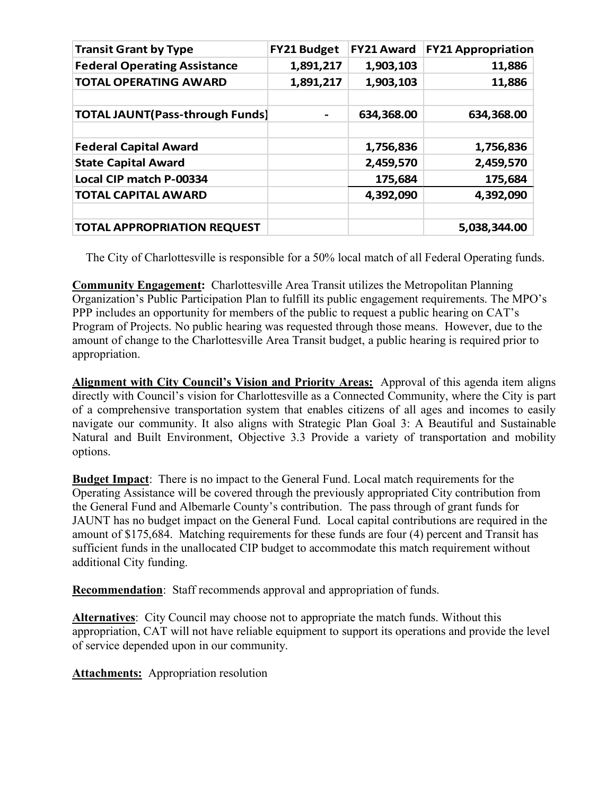| <b>Transit Grant by Type</b>           | <b>FY21 Budget</b> | <b>FY21 Award</b> | <b>FY21 Appropriation</b> |
|----------------------------------------|--------------------|-------------------|---------------------------|
| <b>Federal Operating Assistance</b>    | 1,891,217          | 1,903,103         | 11,886                    |
| <b>TOTAL OPERATING AWARD</b>           | 1,891,217          | 1,903,103         | 11,886                    |
|                                        |                    |                   |                           |
| <b>TOTAL JAUNT(Pass-through Funds)</b> |                    | 634,368.00        | 634,368.00                |
|                                        |                    |                   |                           |
| <b>Federal Capital Award</b>           |                    | 1,756,836         | 1,756,836                 |
| <b>State Capital Award</b>             |                    | 2,459,570         | 2,459,570                 |
| Local CIP match P-00334                |                    | 175,684           | 175,684                   |
| <b>TOTAL CAPITAL AWARD</b>             |                    | 4,392,090         | 4,392,090                 |
|                                        |                    |                   |                           |
| <b>TOTAL APPROPRIATION REQUEST</b>     |                    |                   | 5,038,344.00              |

The City of Charlottesville is responsible for a 50% local match of all Federal Operating funds.

**Community Engagement:** Charlottesville Area Transit utilizes the Metropolitan Planning Organization's Public Participation Plan to fulfill its public engagement requirements. The MPO's PPP includes an opportunity for members of the public to request a public hearing on CAT's Program of Projects. No public hearing was requested through those means. However, due to the amount of change to the Charlottesville Area Transit budget, a public hearing is required prior to appropriation.

**Alignment with City Council's Vision and Priority Areas:** Approval of this agenda item aligns directly with Council's vision for Charlottesville as a Connected Community, where the City is part of a comprehensive transportation system that enables citizens of all ages and incomes to easily navigate our community. It also aligns with Strategic Plan Goal 3: A Beautiful and Sustainable Natural and Built Environment, Objective 3.3 Provide a variety of transportation and mobility options.

**Budget Impact**: There is no impact to the General Fund. Local match requirements for the Operating Assistance will be covered through the previously appropriated City contribution from the General Fund and Albemarle County's contribution. The pass through of grant funds for JAUNT has no budget impact on the General Fund. Local capital contributions are required in the amount of \$175,684. Matching requirements for these funds are four (4) percent and Transit has sufficient funds in the unallocated CIP budget to accommodate this match requirement without additional City funding.

**Recommendation**: Staff recommends approval and appropriation of funds.

**Alternatives**: City Council may choose not to appropriate the match funds. Without this appropriation, CAT will not have reliable equipment to support its operations and provide the level of service depended upon in our community.

**Attachments:** Appropriation resolution